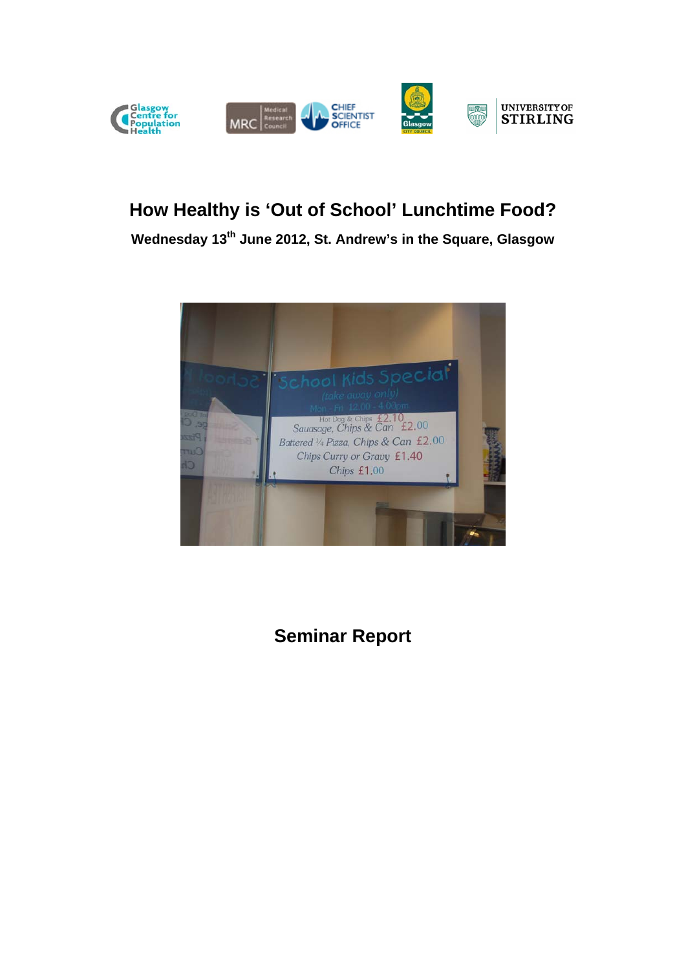

# **How Healthy is 'Out of School' Lunchtime Food?**

**Wednesday 13th June 2012, St. Andrew's in the Square, Glasgow** 



**Seminar Report**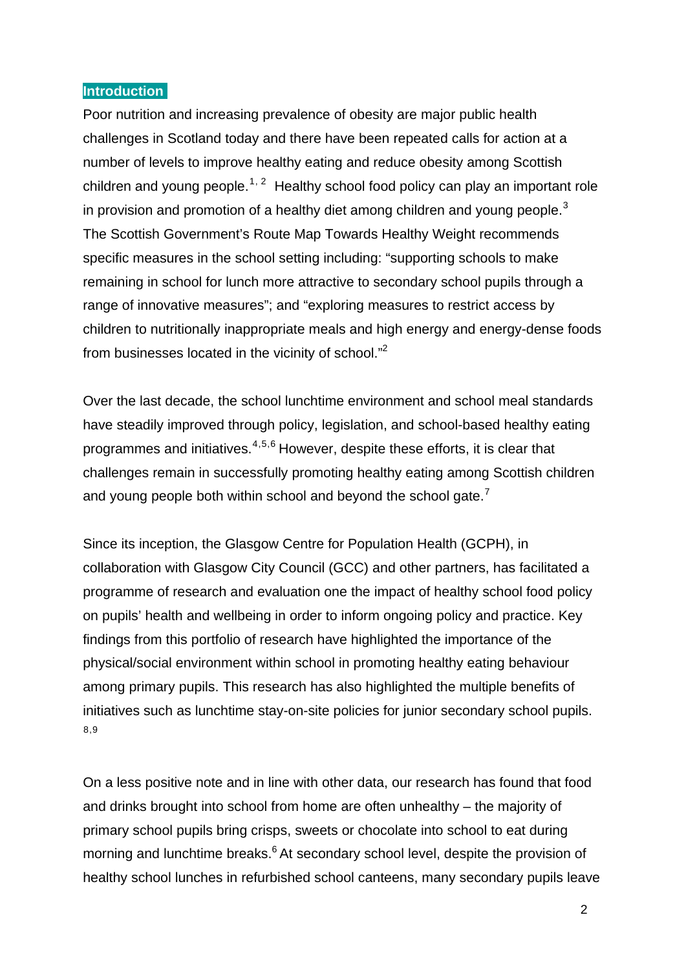#### **Introduction**

<span id="page-1-0"></span>Poor nutrition and increasing prevalence of obesity are major public health challenges in Scotland today and there have been repeated calls for action at a number of levels to improve healthy eating and reduce obesity among Scottish children and young people.<sup>[1](#page-12-0), [2](#page-12-1)</sup> Healthy school food policy can play an important role in provision and promotion of a healthy diet among children and young people.<sup>[3](#page-12-2)</sup> The Scottish Government's Route Map Towards Healthy Weight recommends specific measures in the school setting including: "supporting schools to make remaining in school for lunch more attractive to secondary school pupils through a range of innovative measures"; and "exploring measures to restrict access by children to nutritionally inappropriate meals and high energy and energy-dense foods from businesses located in the vicinity of school.["2](#page-1-0)

<span id="page-1-1"></span>Over the last decade, the school lunchtime environment and school meal standards have steadily improved through policy, legislation, and school-based healthy eating programmes and initiatives.[4](#page-12-3),[5](#page-12-4),[6](#page-12-5) However, despite these efforts, it is clear that challenges remain in successfully promoting healthy eating among Scottish children and young people both within school and beyond the school gate.<sup>[7](#page-12-6)</sup>

Since its inception, the Glasgow Centre for Population Health (GCPH), in collaboration with Glasgow City Council (GCC) and other partners, has facilitated a programme of research and evaluation one the impact of healthy school food policy on pupils' health and wellbeing in order to inform ongoing policy and practice. Key findings from this portfolio of research have highlighted the importance of the physical/social environment within school in promoting healthy eating behaviour among primary pupils. This research has also highlighted the multiple benefits of initiatives such as lunchtime stay-on-site policies for junior secondary school pupils. [8](#page-12-7),[9](#page-13-0)

On a less positive note and in line with other data, our research has found that food and drinks brought into school from home are often unhealthy – the majority of primary school pupils bring crisps, sweets or chocolate into school to eat during morning and lunchtime breaks.<sup>6</sup> At secondary school level, despite the provision of healthy school lunches in refurbished school canteens, many secondary pupils leave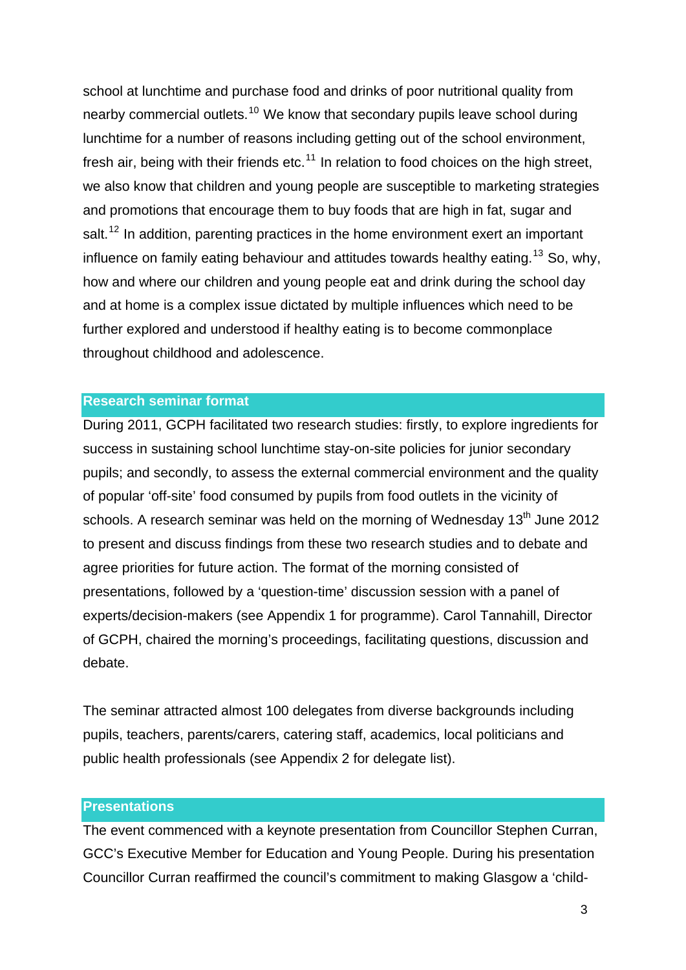school at lunchtime and purchase food and drinks of poor nutritional quality from nearby commercial outlets.<sup>[10](#page-13-1)</sup> We know that secondary pupils leave school during lunchtime for a number of reasons including getting out of the school environment, fresh air, being with their friends etc.<sup>[11](#page-13-2)</sup> In relation to food choices on the high street, we also know that children and young people are susceptible to marketing strategies and promotions that encourage them to buy foods that are high in fat, sugar and salt.<sup>[12](#page-13-3)</sup> In addition, parenting practices in the home environment exert an important influence on family eating behaviour and attitudes towards healthy eating.<sup>[13](#page-13-4)</sup> So, why, how and where our children and young people eat and drink during the school day and at home is a complex issue dictated by multiple influences which need to be further explored and understood if healthy eating is to become commonplace throughout childhood and adolescence.

## **Research seminar format**

During 2011, GCPH facilitated two research studies: firstly, to explore ingredients for success in sustaining school lunchtime stay-on-site policies for junior secondary pupils; and secondly, to assess the external commercial environment and the quality of popular 'off-site' food consumed by pupils from food outlets in the vicinity of schools. A research seminar was held on the morning of Wednesday  $13<sup>th</sup>$  June 2012 to present and discuss findings from these two research studies and to debate and agree priorities for future action. The format of the morning consisted of presentations, followed by a 'question-time' discussion session with a panel of experts/decision-makers (see Appendix 1 for programme). Carol Tannahill, Director of GCPH, chaired the morning's proceedings, facilitating questions, discussion and debate.

The seminar attracted almost 100 delegates from diverse backgrounds including pupils, teachers, parents/carers, catering staff, academics, local politicians and public health professionals (see Appendix 2 for delegate list).

## **Presentations**

The event commenced with a keynote presentation from Councillor Stephen Curran, GCC's Executive Member for Education and Young People. During his presentation Councillor Curran reaffirmed the council's commitment to making Glasgow a 'child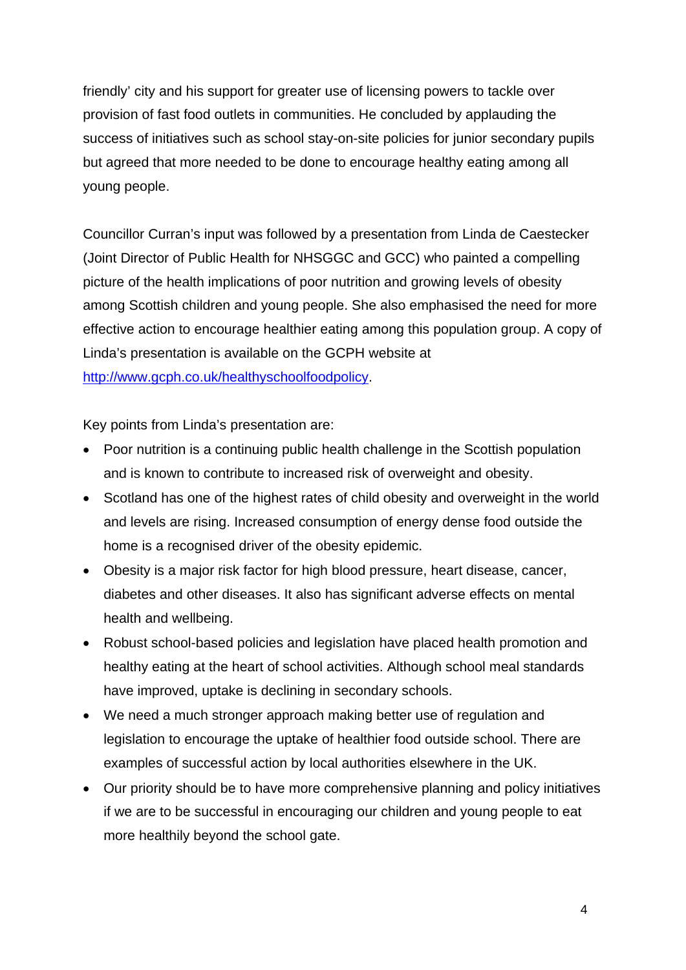friendly' city and his support for greater use of licensing powers to tackle over provision of fast food outlets in communities. He concluded by applauding the success of initiatives such as school stay-on-site policies for junior secondary pupils but agreed that more needed to be done to encourage healthy eating among all young people.

Councillor Curran's input was followed by a presentation from Linda de Caestecker (Joint Director of Public Health for NHSGGC and GCC) who painted a compelling picture of the health implications of poor nutrition and growing levels of obesity among Scottish children and young people. She also emphasised the need for more effective action to encourage healthier eating among this population group. A copy of Linda's presentation is available on the GCPH website at <http://www.gcph.co.uk/healthyschoolfoodpolicy>.

Key points from Linda's presentation are:

- Poor nutrition is a continuing public health challenge in the Scottish population and is known to contribute to increased risk of overweight and obesity.
- Scotland has one of the highest rates of child obesity and overweight in the world and levels are rising. Increased consumption of energy dense food outside the home is a recognised driver of the obesity epidemic.
- Obesity is a major risk factor for high blood pressure, heart disease, cancer, diabetes and other diseases. It also has significant adverse effects on mental health and wellbeing.
- Robust school-based policies and legislation have placed health promotion and healthy eating at the heart of school activities. Although school meal standards have improved, uptake is declining in secondary schools.
- We need a much stronger approach making better use of regulation and legislation to encourage the uptake of healthier food outside school. There are examples of successful action by local authorities elsewhere in the UK.
- Our priority should be to have more comprehensive planning and policy initiatives if we are to be successful in encouraging our children and young people to eat more healthily beyond the school gate.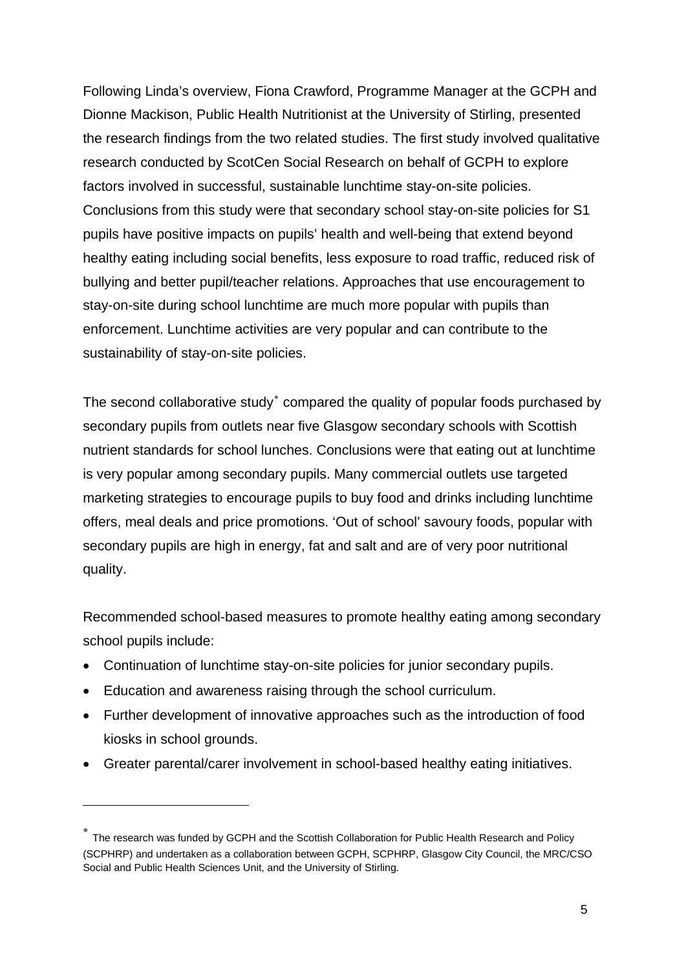Following Linda's overview, Fiona Crawford, Programme Manager at the GCPH and Dionne Mackison, Public Health Nutritionist at the University of Stirling, presented the research findings from the two related studies. The first study involved qualitative research conducted by ScotCen Social Research on behalf of GCPH to explore factors involved in successful, sustainable lunchtime stay-on-site policies. Conclusions from this study were that secondary school stay-on-site policies for S1 pupils have positive impacts on pupils' health and well-being that extend beyond healthy eating including social benefits, less exposure to road traffic, reduced risk of bullying and better pupil/teacher relations. Approaches that use encouragement to stay-on-site during school lunchtime are much more popular with pupils than enforcement. Lunchtime activities are very popular and can contribute to the sustainability of stay-on-site policies.

The second collaborative study<sup>\*</sup> compared the quality of popular foods purchased by secondary pupils from outlets near five Glasgow secondary schools with Scottish nutrient standards for school lunches. Conclusions were that eating out at lunchtime is very popular among secondary pupils. Many commercial outlets use targeted marketing strategies to encourage pupils to buy food and drinks including lunchtime offers, meal deals and price promotions. 'Out of school' savoury foods, popular with secondary pupils are high in energy, fat and salt and are of very poor nutritional quality.

Recommended school-based measures to promote healthy eating among secondary school pupils include:

- Continuation of lunchtime stay-on-site policies for junior secondary pupils.
- Education and awareness raising through the school curriculum.

- Further development of innovative approaches such as the introduction of food kiosks in school grounds.
- Greater parental/carer involvement in school-based healthy eating initiatives.

<span id="page-4-0"></span>The research was funded by GCPH and the Scottish Collaboration for Public Health Research and Policy (SCPHRP) and undertaken as a collaboration between GCPH, SCPHRP, Glasgow City Council, the MRC/CSO Social and Public Health Sciences Unit, and the University of Stirling.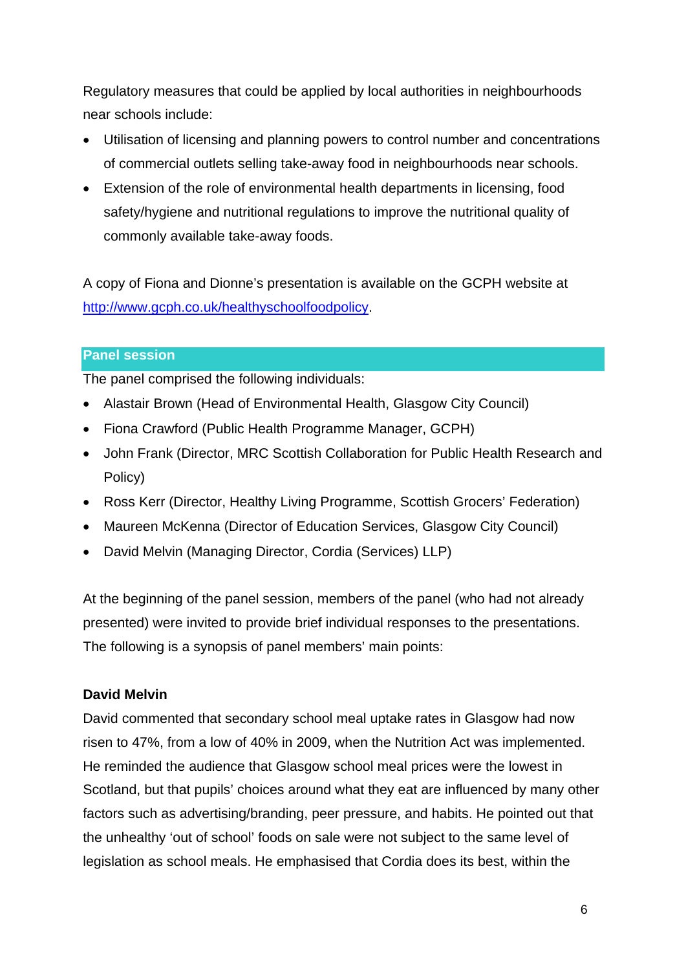Regulatory measures that could be applied by local authorities in neighbourhoods near schools include:

- Utilisation of licensing and planning powers to control number and concentrations of commercial outlets selling take-away food in neighbourhoods near schools.
- Extension of the role of environmental health departments in licensing, food safety/hygiene and nutritional regulations to improve the nutritional quality of commonly available take-away foods.

A copy of Fiona and Dionne's presentation is available on the GCPH website at <http://www.gcph.co.uk/healthyschoolfoodpolicy>.

## **Panel session**

The panel comprised the following individuals:

- Alastair Brown (Head of Environmental Health, Glasgow City Council)
- Fiona Crawford (Public Health Programme Manager, GCPH)
- John Frank (Director, MRC Scottish Collaboration for Public Health Research and Policy)
- Ross Kerr (Director, Healthy Living Programme, Scottish Grocers' Federation)
- Maureen McKenna (Director of Education Services, Glasgow City Council)
- David Melvin (Managing Director, Cordia (Services) LLP)

At the beginning of the panel session, members of the panel (who had not already presented) were invited to provide brief individual responses to the presentations. The following is a synopsis of panel members' main points:

## **David Melvin**

David commented that secondary school meal uptake rates in Glasgow had now risen to 47%, from a low of 40% in 2009, when the Nutrition Act was implemented. He reminded the audience that Glasgow school meal prices were the lowest in Scotland, but that pupils' choices around what they eat are influenced by many other factors such as advertising/branding, peer pressure, and habits. He pointed out that the unhealthy 'out of school' foods on sale were not subject to the same level of legislation as school meals. He emphasised that Cordia does its best, within the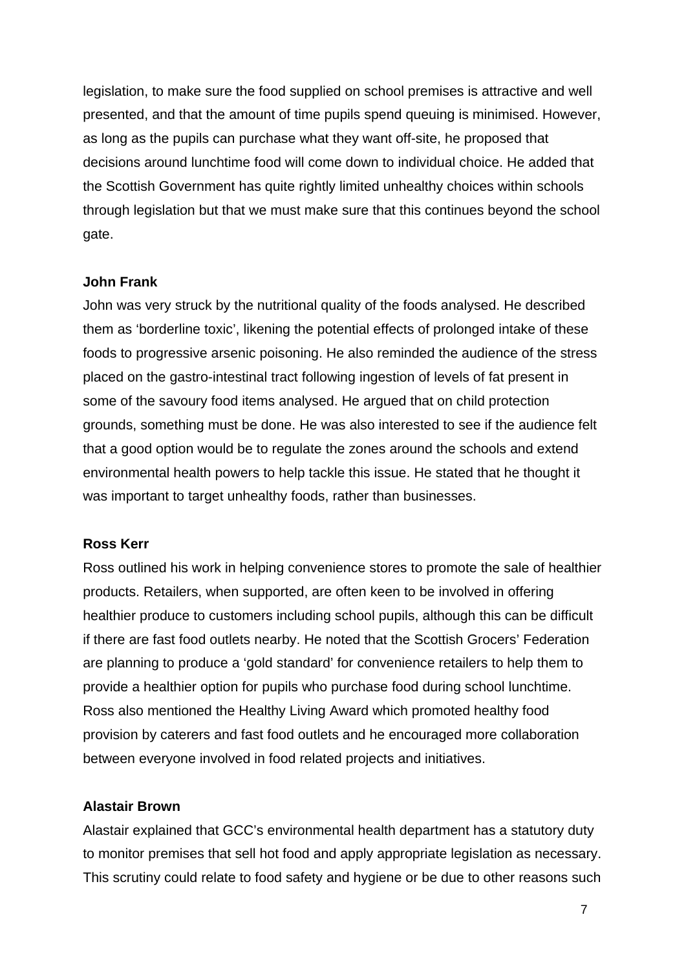legislation, to make sure the food supplied on school premises is attractive and well presented, and that the amount of time pupils spend queuing is minimised. However, as long as the pupils can purchase what they want off-site, he proposed that decisions around lunchtime food will come down to individual choice. He added that the Scottish Government has quite rightly limited unhealthy choices within schools through legislation but that we must make sure that this continues beyond the school gate.

### **John Frank**

John was very struck by the nutritional quality of the foods analysed. He described them as 'borderline toxic', likening the potential effects of prolonged intake of these foods to progressive arsenic poisoning. He also reminded the audience of the stress placed on the gastro-intestinal tract following ingestion of levels of fat present in some of the savoury food items analysed. He argued that on child protection grounds, something must be done. He was also interested to see if the audience felt that a good option would be to regulate the zones around the schools and extend environmental health powers to help tackle this issue. He stated that he thought it was important to target unhealthy foods, rather than businesses.

#### **Ross Kerr**

Ross outlined his work in helping convenience stores to promote the sale of healthier products. Retailers, when supported, are often keen to be involved in offering healthier produce to customers including school pupils, although this can be difficult if there are fast food outlets nearby. He noted that the Scottish Grocers' Federation are planning to produce a 'gold standard' for convenience retailers to help them to provide a healthier option for pupils who purchase food during school lunchtime. Ross also mentioned the Healthy Living Award which promoted healthy food provision by caterers and fast food outlets and he encouraged more collaboration between everyone involved in food related projects and initiatives.

### **Alastair Brown**

Alastair explained that GCC's environmental health department has a statutory duty to monitor premises that sell hot food and apply appropriate legislation as necessary. This scrutiny could relate to food safety and hygiene or be due to other reasons such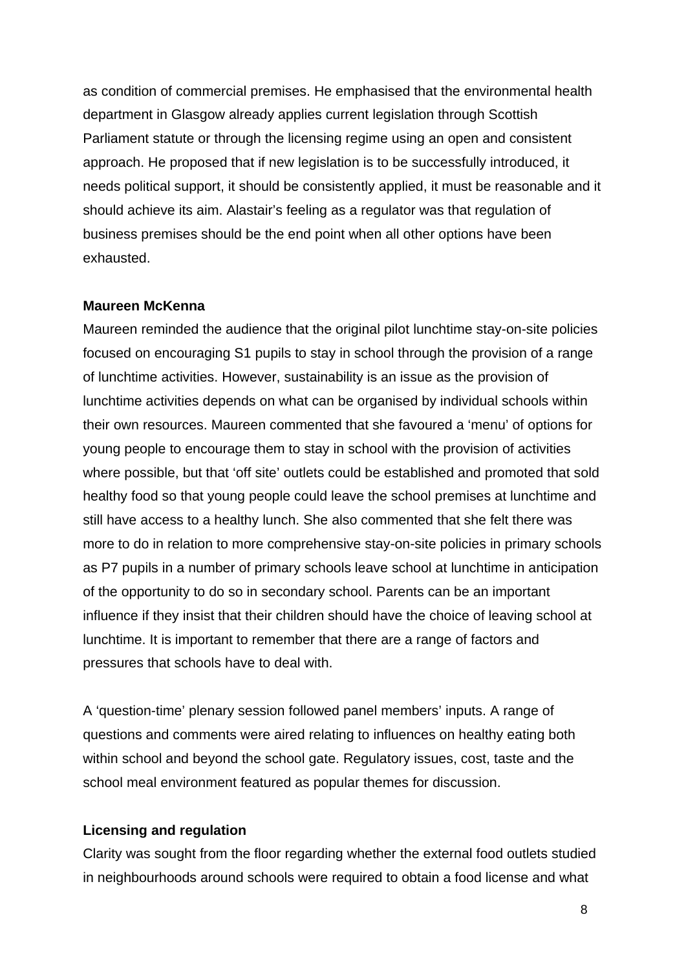as condition of commercial premises. He emphasised that the environmental health department in Glasgow already applies current legislation through Scottish Parliament statute or through the licensing regime using an open and consistent approach. He proposed that if new legislation is to be successfully introduced, it needs political support, it should be consistently applied, it must be reasonable and it should achieve its aim. Alastair's feeling as a regulator was that regulation of business premises should be the end point when all other options have been exhausted.

## **Maureen McKenna**

Maureen reminded the audience that the original pilot lunchtime stay-on-site policies focused on encouraging S1 pupils to stay in school through the provision of a range of lunchtime activities. However, sustainability is an issue as the provision of lunchtime activities depends on what can be organised by individual schools within their own resources. Maureen commented that she favoured a 'menu' of options for young people to encourage them to stay in school with the provision of activities where possible, but that 'off site' outlets could be established and promoted that sold healthy food so that young people could leave the school premises at lunchtime and still have access to a healthy lunch. She also commented that she felt there was more to do in relation to more comprehensive stay-on-site policies in primary schools as P7 pupils in a number of primary schools leave school at lunchtime in anticipation of the opportunity to do so in secondary school. Parents can be an important influence if they insist that their children should have the choice of leaving school at lunchtime. It is important to remember that there are a range of factors and pressures that schools have to deal with.

A 'question-time' plenary session followed panel members' inputs. A range of questions and comments were aired relating to influences on healthy eating both within school and beyond the school gate. Regulatory issues, cost, taste and the school meal environment featured as popular themes for discussion.

### **Licensing and regulation**

Clarity was sought from the floor regarding whether the external food outlets studied in neighbourhoods around schools were required to obtain a food license and what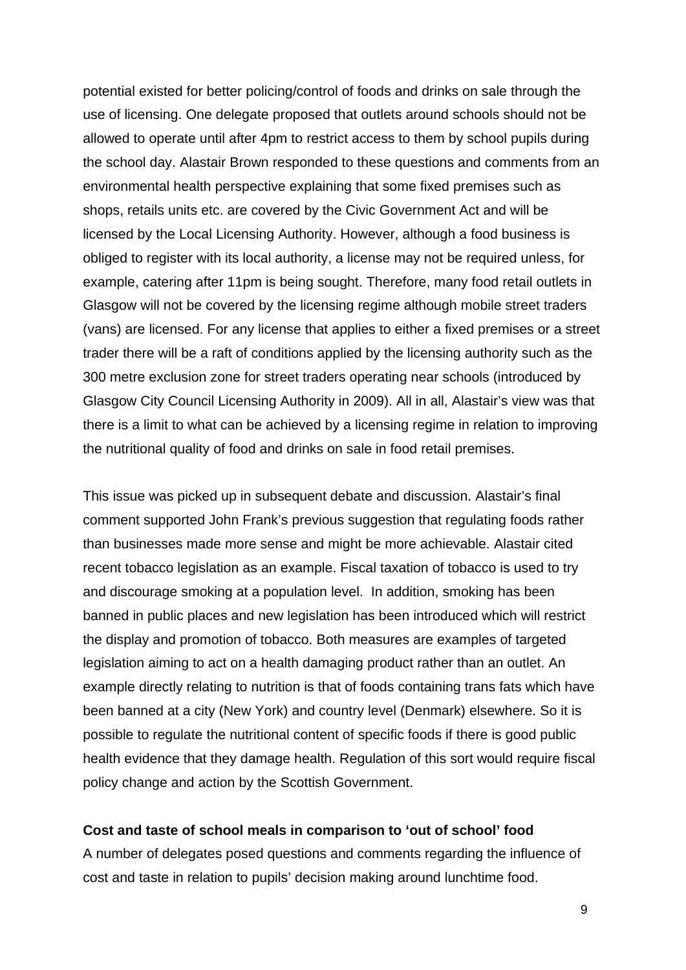potential existed for better policing/control of foods and drinks on sale through the use of licensing. One delegate proposed that outlets around schools should not be allowed to operate until after 4pm to restrict access to them by school pupils during the school day. Alastair Brown responded to these questions and comments from an environmental health perspective explaining that some fixed premises such as shops, retails units etc. are covered by the Civic Government Act and will be licensed by the Local Licensing Authority. However, although a food business is obliged to register with its local authority, a license may not be required unless, for example, catering after 11pm is being sought. Therefore, many food retail outlets in Glasgow will not be covered by the licensing regime although mobile street traders (vans) are licensed. For any license that applies to either a fixed premises or a street trader there will be a raft of conditions applied by the licensing authority such as the 300 metre exclusion zone for street traders operating near schools (introduced by Glasgow City Council Licensing Authority in 2009). All in all, Alastair's view was that there is a limit to what can be achieved by a licensing regime in relation to improving the nutritional quality of food and drinks on sale in food retail premises.

This issue was picked up in subsequent debate and discussion. Alastair's final comment supported John Frank's previous suggestion that regulating foods rather than businesses made more sense and might be more achievable. Alastair cited recent tobacco legislation as an example. Fiscal taxation of tobacco is used to try and discourage smoking at a population level. In addition, smoking has been banned in public places and new legislation has been introduced which will restrict the display and promotion of tobacco. Both measures are examples of targeted legislation aiming to act on a health damaging product rather than an outlet. An example directly relating to nutrition is that of foods containing trans fats which have been banned at a city (New York) and country level (Denmark) elsewhere. So it is possible to regulate the nutritional content of specific foods if there is good public health evidence that they damage health. Regulation of this sort would require fiscal policy change and action by the Scottish Government.

### **Cost and taste of school meals in comparison to 'out of school' food**

A number of delegates posed questions and comments regarding the influence of cost and taste in relation to pupils' decision making around lunchtime food.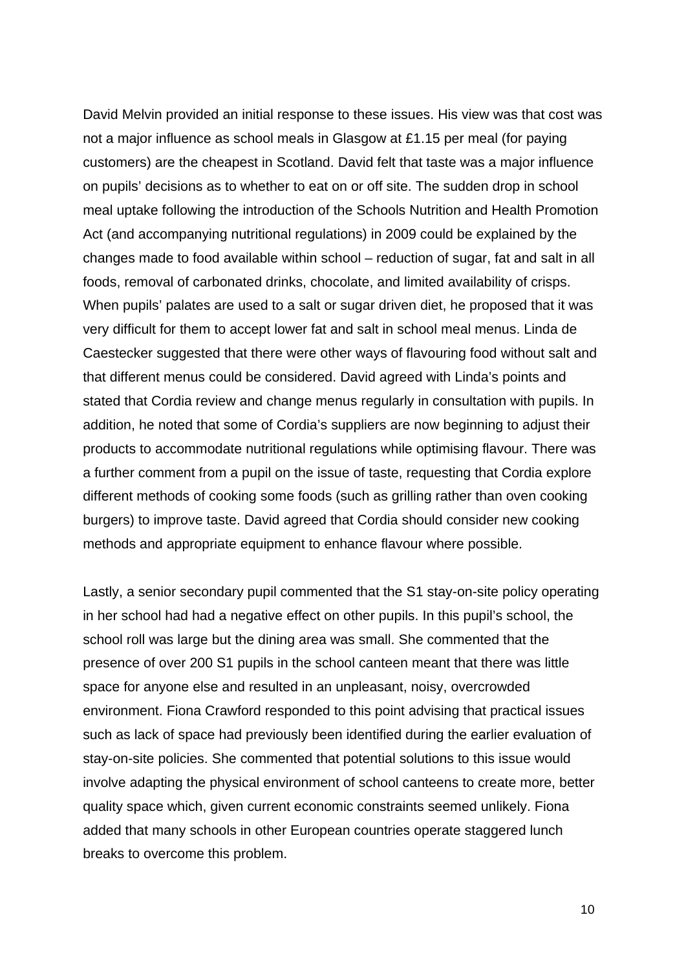David Melvin provided an initial response to these issues. His view was that cost was not a major influence as school meals in Glasgow at £1.15 per meal (for paying customers) are the cheapest in Scotland. David felt that taste was a major influence on pupils' decisions as to whether to eat on or off site. The sudden drop in school meal uptake following the introduction of the Schools Nutrition and Health Promotion Act (and accompanying nutritional regulations) in 2009 could be explained by the changes made to food available within school – reduction of sugar, fat and salt in all foods, removal of carbonated drinks, chocolate, and limited availability of crisps. When pupils' palates are used to a salt or sugar driven diet, he proposed that it was very difficult for them to accept lower fat and salt in school meal menus. Linda de Caestecker suggested that there were other ways of flavouring food without salt and that different menus could be considered. David agreed with Linda's points and stated that Cordia review and change menus regularly in consultation with pupils. In addition, he noted that some of Cordia's suppliers are now beginning to adjust their products to accommodate nutritional regulations while optimising flavour. There was a further comment from a pupil on the issue of taste, requesting that Cordia explore different methods of cooking some foods (such as grilling rather than oven cooking burgers) to improve taste. David agreed that Cordia should consider new cooking methods and appropriate equipment to enhance flavour where possible.

Lastly, a senior secondary pupil commented that the S1 stay-on-site policy operating in her school had had a negative effect on other pupils. In this pupil's school, the school roll was large but the dining area was small. She commented that the presence of over 200 S1 pupils in the school canteen meant that there was little space for anyone else and resulted in an unpleasant, noisy, overcrowded environment. Fiona Crawford responded to this point advising that practical issues such as lack of space had previously been identified during the earlier evaluation of stay-on-site policies. She commented that potential solutions to this issue would involve adapting the physical environment of school canteens to create more, better quality space which, given current economic constraints seemed unlikely. Fiona added that many schools in other European countries operate staggered lunch breaks to overcome this problem.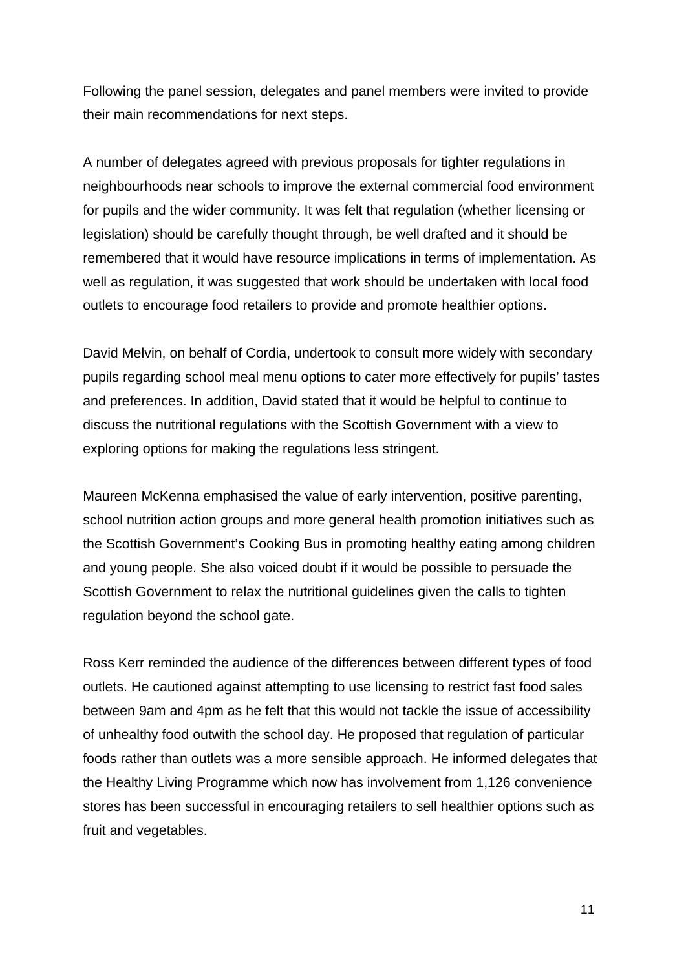Following the panel session, delegates and panel members were invited to provide their main recommendations for next steps.

A number of delegates agreed with previous proposals for tighter regulations in neighbourhoods near schools to improve the external commercial food environment for pupils and the wider community. It was felt that regulation (whether licensing or legislation) should be carefully thought through, be well drafted and it should be remembered that it would have resource implications in terms of implementation. As well as regulation, it was suggested that work should be undertaken with local food outlets to encourage food retailers to provide and promote healthier options.

David Melvin, on behalf of Cordia, undertook to consult more widely with secondary pupils regarding school meal menu options to cater more effectively for pupils' tastes and preferences. In addition, David stated that it would be helpful to continue to discuss the nutritional regulations with the Scottish Government with a view to exploring options for making the regulations less stringent.

Maureen McKenna emphasised the value of early intervention, positive parenting, school nutrition action groups and more general health promotion initiatives such as the Scottish Government's Cooking Bus in promoting healthy eating among children and young people. She also voiced doubt if it would be possible to persuade the Scottish Government to relax the nutritional guidelines given the calls to tighten regulation beyond the school gate.

Ross Kerr reminded the audience of the differences between different types of food outlets. He cautioned against attempting to use licensing to restrict fast food sales between 9am and 4pm as he felt that this would not tackle the issue of accessibility of unhealthy food outwith the school day. He proposed that regulation of particular foods rather than outlets was a more sensible approach. He informed delegates that the Healthy Living Programme which now has involvement from 1,126 convenience stores has been successful in encouraging retailers to sell healthier options such as fruit and vegetables.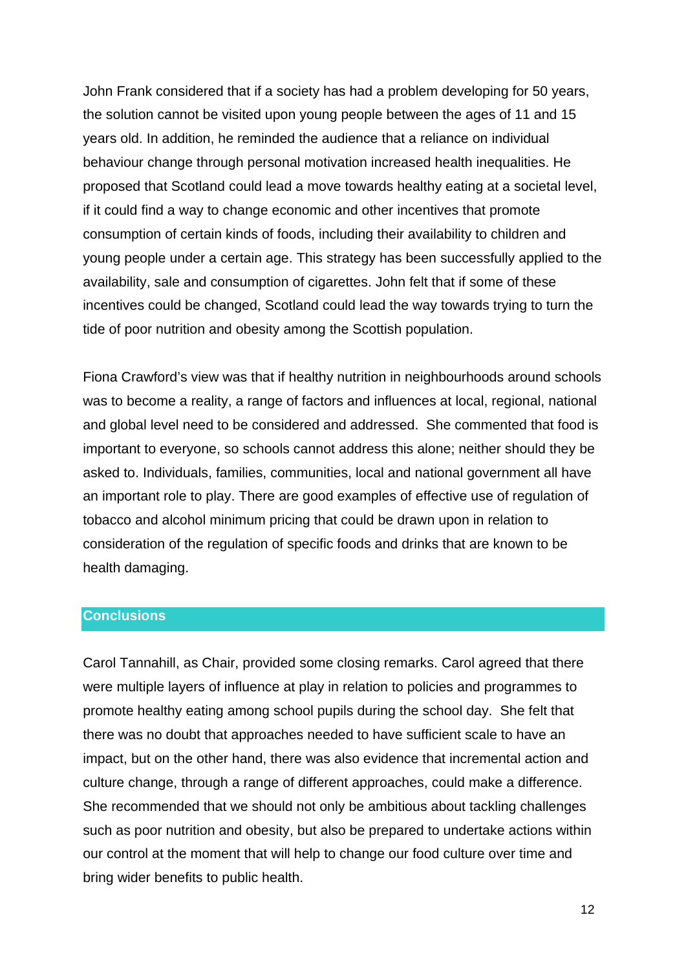John Frank considered that if a society has had a problem developing for 50 years, the solution cannot be visited upon young people between the ages of 11 and 15 years old. In addition, he reminded the audience that a reliance on individual behaviour change through personal motivation increased health inequalities. He proposed that Scotland could lead a move towards healthy eating at a societal level, if it could find a way to change economic and other incentives that promote consumption of certain kinds of foods, including their availability to children and young people under a certain age. This strategy has been successfully applied to the availability, sale and consumption of cigarettes. John felt that if some of these incentives could be changed, Scotland could lead the way towards trying to turn the tide of poor nutrition and obesity among the Scottish population.

Fiona Crawford's view was that if healthy nutrition in neighbourhoods around schools was to become a reality, a range of factors and influences at local, regional, national and global level need to be considered and addressed. She commented that food is important to everyone, so schools cannot address this alone; neither should they be asked to. Individuals, families, communities, local and national government all have an important role to play. There are good examples of effective use of regulation of tobacco and alcohol minimum pricing that could be drawn upon in relation to consideration of the regulation of specific foods and drinks that are known to be health damaging.

## **Conclusions**

Carol Tannahill, as Chair, provided some closing remarks. Carol agreed that there were multiple layers of influence at play in relation to policies and programmes to promote healthy eating among school pupils during the school day. She felt that there was no doubt that approaches needed to have sufficient scale to have an impact, but on the other hand, there was also evidence that incremental action and culture change, through a range of different approaches, could make a difference. She recommended that we should not only be ambitious about tackling challenges such as poor nutrition and obesity, but also be prepared to undertake actions within our control at the moment that will help to change our food culture over time and bring wider benefits to public health.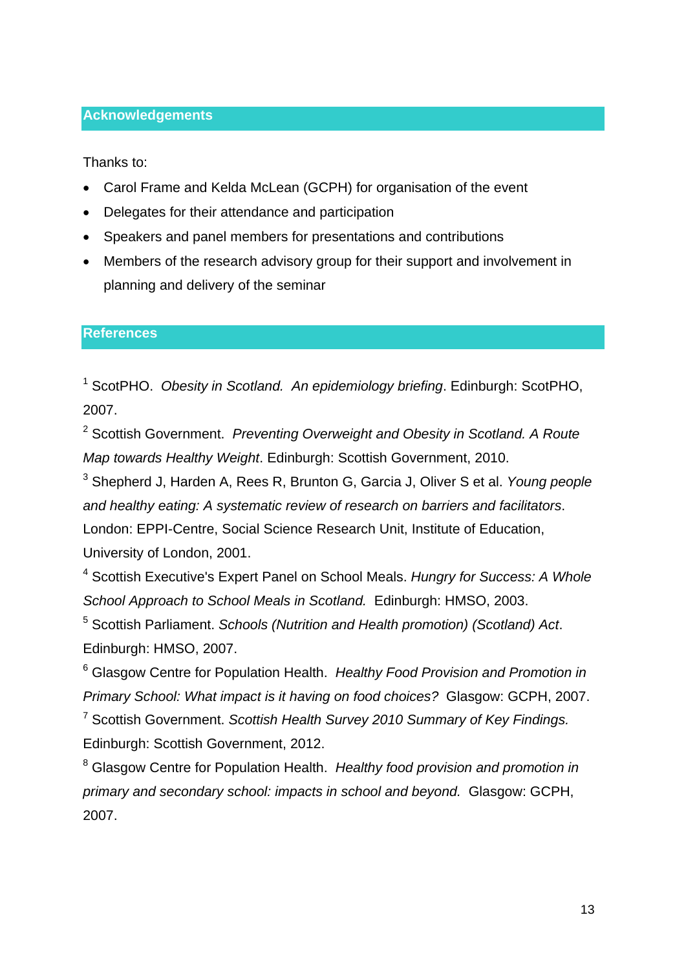## **Acknowledgements**

Thanks to:

- Carol Frame and Kelda McLean (GCPH) for organisation of the event
- Delegates for their attendance and participation
- Speakers and panel members for presentations and contributions
- Members of the research advisory group for their support and involvement in planning and delivery of the seminar

## **References**

<span id="page-12-0"></span><sup>1</sup> ScotPHO. Obesity in Scotland. An epidemiology briefing. Edinburgh: ScotPHO, 2007.

<span id="page-12-1"></span>2 Scottish Government. *Preventing Overweight and Obesity in Scotland. A Route Map towards Healthy Weight*. Edinburgh: Scottish Government, 2010.

<span id="page-12-2"></span>3 Shepherd J, Harden A, Rees R, Brunton G, Garcia J, Oliver S et al. *Young people and healthy eating: A systematic review of research on barriers and facilitators*. London: EPPI-Centre, Social Science Research Unit, Institute of Education, University of London, 2001.

<span id="page-12-3"></span>4 Scottish Executive's Expert Panel on School Meals. *Hungry for Success: A Whole School Approach to School Meals in Scotland.* Edinburgh: HMSO, 2003.

<span id="page-12-4"></span>5 Scottish Parliament. *Schools (Nutrition and Health promotion) (Scotland) Act*. Edinburgh: HMSO, 2007.

<span id="page-12-5"></span>6 Glasgow Centre for Population Health. *Healthy Food Provision and Promotion in Primary School: What impact is it having on food choices?* Glasgow: GCPH, 2007.

<span id="page-12-6"></span>7 Scottish Government. *Scottish Health Survey 2010 Summary of Key Findings.*  Edinburgh: Scottish Government, 2012.

<span id="page-12-7"></span>8 Glasgow Centre for Population Health. *Healthy food provision and promotion in primary and secondary school: impacts in school and beyond.* Glasgow: GCPH, 2007.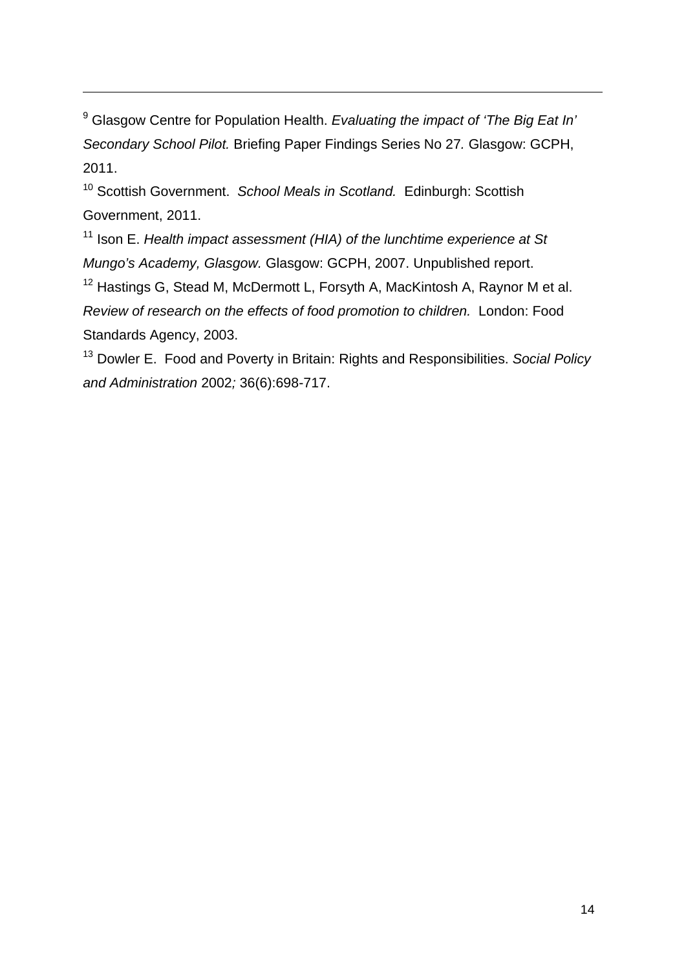<span id="page-13-0"></span>9 Glasgow Centre for Population Health. *Evaluating the impact of 'The Big Eat In' Secondary School Pilot.* Briefing Paper Findings Series No 27*.* Glasgow: GCPH, 2011.

<u> Andreas Andreas Andreas Andreas Andreas Andreas Andreas Andreas Andreas Andreas Andreas Andreas Andreas Andr</u>

<span id="page-13-1"></span>10 Scottish Government. *School Meals in Scotland.* Edinburgh: Scottish Government, 2011.

<span id="page-13-2"></span><sup>11</sup> Ison E. *Health impact assessment (HIA) of the lunchtime experience at St Mungo's Academy, Glasgow.* Glasgow: GCPH, 2007. Unpublished report.

<span id="page-13-3"></span><sup>12</sup> Hastings G, Stead M, McDermott L, Forsyth A, MacKintosh A, Raynor M et al. *Review of research on the effects of food promotion to children.* London: Food Standards Agency, 2003.

<span id="page-13-4"></span>13 Dowler E. Food and Poverty in Britain: Rights and Responsibilities. *Social Policy and Administration* 2002*;* 36(6):698-717.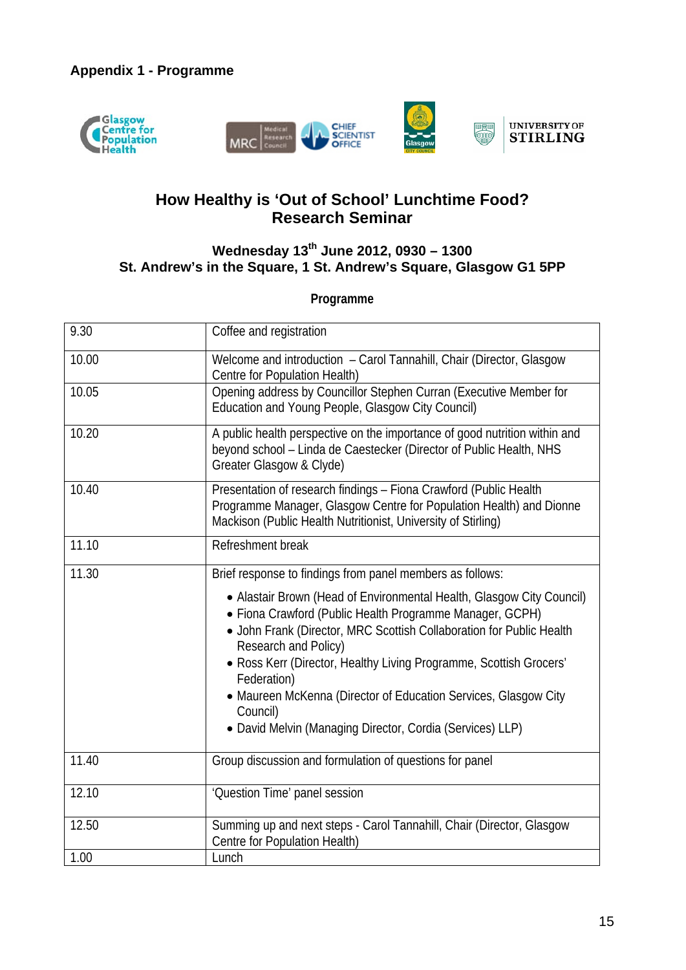



## **How Healthy is 'Out of School' Lunchtime Food? Research Seminar**

## **Wednesday 13th June 2012, 0930 – 1300 St. Andrew's in the Square, 1 St. Andrew's Square, Glasgow G1 5PP**

**Programme** 

| 9.30  | Coffee and registration                                                                                                                                                                                                           |  |  |
|-------|-----------------------------------------------------------------------------------------------------------------------------------------------------------------------------------------------------------------------------------|--|--|
| 10.00 | Welcome and introduction - Carol Tannahill, Chair (Director, Glasgow<br>Centre for Population Health)                                                                                                                             |  |  |
| 10.05 | Opening address by Councillor Stephen Curran (Executive Member for<br>Education and Young People, Glasgow City Council)                                                                                                           |  |  |
| 10.20 | A public health perspective on the importance of good nutrition within and<br>beyond school - Linda de Caestecker (Director of Public Health, NHS<br>Greater Glasgow & Clyde)                                                     |  |  |
| 10.40 | Presentation of research findings - Fiona Crawford (Public Health<br>Programme Manager, Glasgow Centre for Population Health) and Dionne<br>Mackison (Public Health Nutritionist, University of Stirling)                         |  |  |
| 11.10 | Refreshment break                                                                                                                                                                                                                 |  |  |
| 11.30 | Brief response to findings from panel members as follows:                                                                                                                                                                         |  |  |
|       | • Alastair Brown (Head of Environmental Health, Glasgow City Council)<br>• Fiona Crawford (Public Health Programme Manager, GCPH)<br>• John Frank (Director, MRC Scottish Collaboration for Public Health<br>Research and Policy) |  |  |
|       | • Ross Kerr (Director, Healthy Living Programme, Scottish Grocers'<br>Federation)                                                                                                                                                 |  |  |
|       | • Maureen McKenna (Director of Education Services, Glasgow City<br>Council)                                                                                                                                                       |  |  |
|       | • David Melvin (Managing Director, Cordia (Services) LLP)                                                                                                                                                                         |  |  |
| 11.40 | Group discussion and formulation of questions for panel                                                                                                                                                                           |  |  |
| 12.10 | 'Question Time' panel session                                                                                                                                                                                                     |  |  |
| 12.50 | Summing up and next steps - Carol Tannahill, Chair (Director, Glasgow<br>Centre for Population Health)                                                                                                                            |  |  |
| 1.00  | Lunch                                                                                                                                                                                                                             |  |  |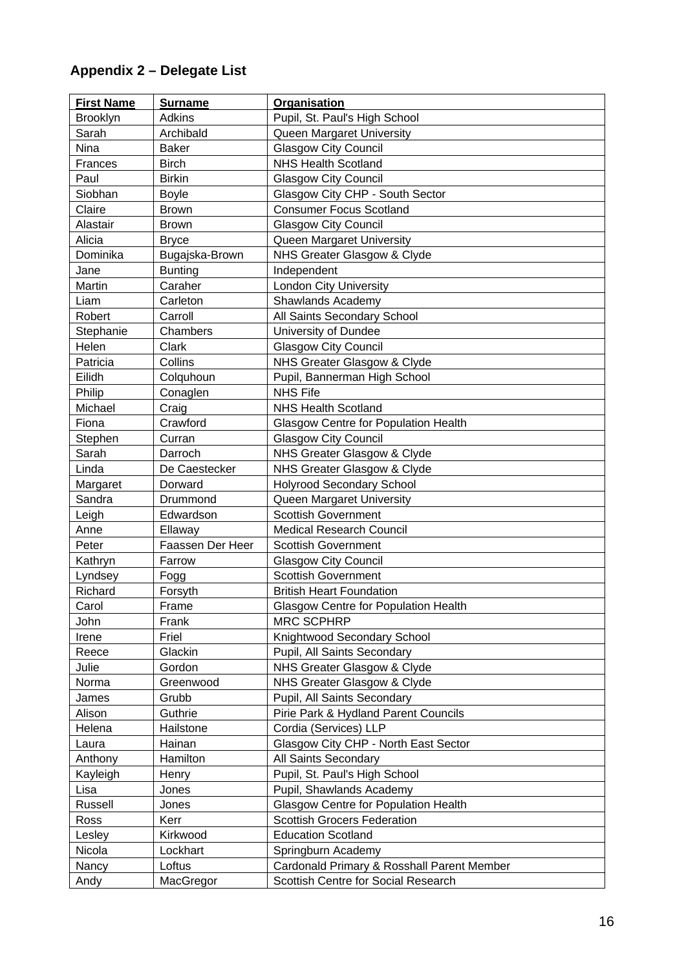## **Appendix 2 – Delegate List**

| <b>First Name</b> | <b>Surname</b>   | <b>Organisation</b>                         |
|-------------------|------------------|---------------------------------------------|
| Brooklyn          | <b>Adkins</b>    | Pupil, St. Paul's High School               |
| Sarah             | Archibald        | Queen Margaret University                   |
| Nina              | <b>Baker</b>     | <b>Glasgow City Council</b>                 |
| Frances           | <b>Birch</b>     | <b>NHS Health Scotland</b>                  |
| Paul              | <b>Birkin</b>    | <b>Glasgow City Council</b>                 |
| Siobhan           | <b>Boyle</b>     | Glasgow City CHP - South Sector             |
| Claire            | <b>Brown</b>     | <b>Consumer Focus Scotland</b>              |
| Alastair          | <b>Brown</b>     | <b>Glasgow City Council</b>                 |
| Alicia            | <b>Bryce</b>     | Queen Margaret University                   |
| Dominika          | Bugajska-Brown   | NHS Greater Glasgow & Clyde                 |
| Jane              | <b>Bunting</b>   | Independent                                 |
| Martin            | Caraher          | London City University                      |
| Liam              | Carleton         | Shawlands Academy                           |
| Robert            | Carroll          | All Saints Secondary School                 |
| Stephanie         | Chambers         | University of Dundee                        |
| Helen             | Clark            | <b>Glasgow City Council</b>                 |
| Patricia          | Collins          | NHS Greater Glasgow & Clyde                 |
| Eilidh            | Colquhoun        | Pupil, Bannerman High School                |
| Philip            | Conaglen         | <b>NHS Fife</b>                             |
| Michael           | Craig            | <b>NHS Health Scotland</b>                  |
| Fiona             | Crawford         | <b>Glasgow Centre for Population Health</b> |
| Stephen           | Curran           | <b>Glasgow City Council</b>                 |
| Sarah             | Darroch          | NHS Greater Glasgow & Clyde                 |
| Linda             | De Caestecker    | NHS Greater Glasgow & Clyde                 |
| Margaret          | Dorward          | <b>Holyrood Secondary School</b>            |
| Sandra            | Drummond         | Queen Margaret University                   |
| Leigh             | Edwardson        | <b>Scottish Government</b>                  |
| Anne              | Ellaway          | <b>Medical Research Council</b>             |
| Peter             | Faassen Der Heer | <b>Scottish Government</b>                  |
| Kathryn           | Farrow           | <b>Glasgow City Council</b>                 |
| Lyndsey           | Fogg             | <b>Scottish Government</b>                  |
| Richard           | Forsyth          | <b>British Heart Foundation</b>             |
| Carol             | Frame            | Glasgow Centre for Population Health        |
| John              | Frank            | <b>MRC SCPHRP</b>                           |
| Irene             | Friel            | Knightwood Secondary School                 |
| Reece             | Glackin          | Pupil, All Saints Secondary                 |
| Julie             | Gordon           | NHS Greater Glasgow & Clyde                 |
| Norma             | Greenwood        | NHS Greater Glasgow & Clyde                 |
| James             | Grubb            | Pupil, All Saints Secondary                 |
| Alison            | Guthrie          | Pirie Park & Hydland Parent Councils        |
| Helena            | Hailstone        | Cordia (Services) LLP                       |
| Laura             | Hainan           | Glasgow City CHP - North East Sector        |
| Anthony           | Hamilton         | All Saints Secondary                        |
| Kayleigh          | Henry            | Pupil, St. Paul's High School               |
| Lisa              | Jones            | Pupil, Shawlands Academy                    |
| Russell           | Jones            | <b>Glasgow Centre for Population Health</b> |
| Ross              | Kerr             | <b>Scottish Grocers Federation</b>          |
| Lesley            | Kirkwood         | <b>Education Scotland</b>                   |
| Nicola            | Lockhart         | Springburn Academy                          |
| Nancy             | Loftus           | Cardonald Primary & Rosshall Parent Member  |
| Andy              | MacGregor        | Scottish Centre for Social Research         |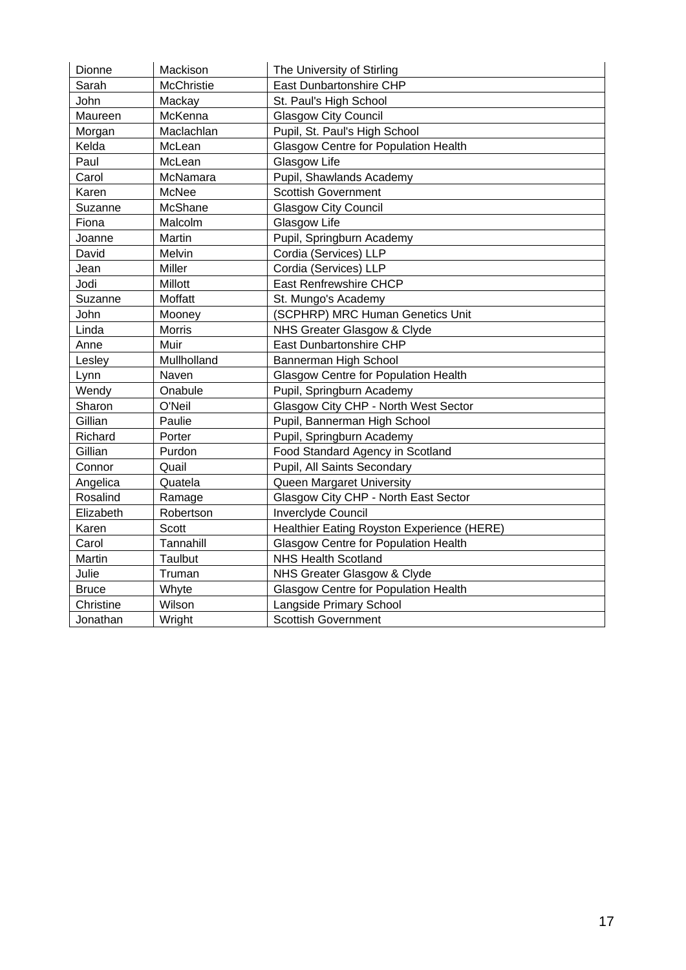| Dionne       | Mackison     | The University of Stirling                  |
|--------------|--------------|---------------------------------------------|
| Sarah        | McChristie   | East Dunbartonshire CHP                     |
| John         | Mackay       | St. Paul's High School                      |
| Maureen      | McKenna      | <b>Glasgow City Council</b>                 |
| Morgan       | Maclachlan   | Pupil, St. Paul's High School               |
| Kelda        | McLean       | <b>Glasgow Centre for Population Health</b> |
| Paul         | McLean       | Glasgow Life                                |
| Carol        | McNamara     | Pupil, Shawlands Academy                    |
| Karen        | <b>McNee</b> | <b>Scottish Government</b>                  |
| Suzanne      | McShane      | <b>Glasgow City Council</b>                 |
| Fiona        | Malcolm      | Glasgow Life                                |
| Joanne       | Martin       | Pupil, Springburn Academy                   |
| David        | Melvin       | Cordia (Services) LLP                       |
| Jean         | Miller       | Cordia (Services) LLP                       |
| Jodi         | Millott      | East Renfrewshire CHCP                      |
| Suzanne      | Moffatt      | St. Mungo's Academy                         |
| John         | Mooney       | (SCPHRP) MRC Human Genetics Unit            |
| Linda        | Morris       | NHS Greater Glasgow & Clyde                 |
| Anne         | Muir         | East Dunbartonshire CHP                     |
| Lesley       | Mullholland  | Bannerman High School                       |
| Lynn         | Naven        | <b>Glasgow Centre for Population Health</b> |
| Wendy        | Onabule      | Pupil, Springburn Academy                   |
| Sharon       | O'Neil       | Glasgow City CHP - North West Sector        |
| Gillian      | Paulie       | Pupil, Bannerman High School                |
| Richard      | Porter       | Pupil, Springburn Academy                   |
| Gillian      | Purdon       | Food Standard Agency in Scotland            |
| Connor       | Quail        | Pupil, All Saints Secondary                 |
| Angelica     | Quatela      | Queen Margaret University                   |
| Rosalind     | Ramage       | Glasgow City CHP - North East Sector        |
| Elizabeth    | Robertson    | Inverclyde Council                          |
| Karen        | Scott        | Healthier Eating Royston Experience (HERE)  |
| Carol        | Tannahill    | <b>Glasgow Centre for Population Health</b> |
| Martin       | Taulbut      | <b>NHS Health Scotland</b>                  |
| Julie        | Truman       | NHS Greater Glasgow & Clyde                 |
| <b>Bruce</b> | Whyte        | <b>Glasgow Centre for Population Health</b> |
| Christine    | Wilson       | Langside Primary School                     |
| Jonathan     | Wright       | <b>Scottish Government</b>                  |